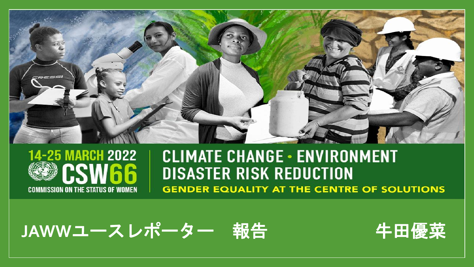



#### **CLIMATE CHANGE - ENVIRONMENT DISASTER RISK REDUCTION GENDER EQUALITY AT THE CENTRE OF SOLUTIONS**

JAWWユースレポーター 報告 - 牛田優菜



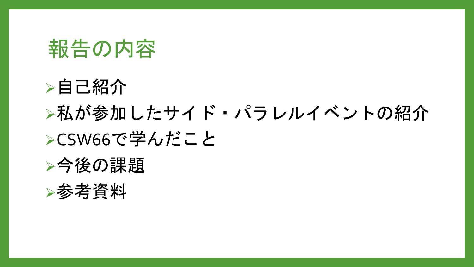# 報告の内容

# ➢自己紹介 ▶私が参加したサイド・パラレルイベントの紹介 ➢CSW66で学んだこと

## ▶今後の課題

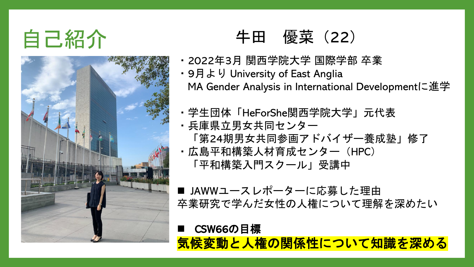



## 自己紹介 さいしゃ キ田 優菜 (22)

- ・2022年3月 関西学院大学 国際学部 卒業
- ・9月より University of East Anglia MA Gender Analysis in International Developmentに進学
- ・学生団体「HeForShe関西学院大学」元代表
- ・兵庫県立男女共同センター 「第24期男女共同参画アドバイザー養成塾」修了
- ・広島平和構築人材育成センター(HPC) 「平和構築入門スクール」受講中
- JAWWユースレポーターに応募した理由 卒業研究で学んだ女性の人権について理解を深めたい

■ CSW66の目標 気候変動と人権の関係性について知識を深める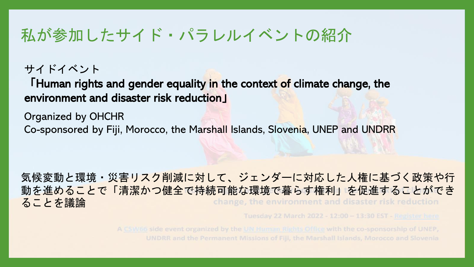#### 私が参加したサイド・パラレルイベントの紹介

#### サイドイベント

「Human rights and gender equality in the context of climate change, the environment and disaster risk reduction」

Organized by OHCHR

Co-sponsored by Fiji, Morocco, the Marshall Islands, Slovenia, UNEP and UNDRR

気候変動と環境・災害リスク削減に対して、ジェンダーに対応した人権に基づく政策や行 動を進めることで「清潔かつ健全で持続可能な環境で暮らす権利」を促進することができ ることを議論change, the environment and disaster risk reduction

Tuesday 22 March 2022 - 12:00 - 13:30 EST - Register here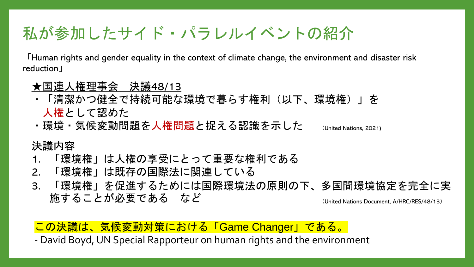### 私が参加したサイド・パラレルイベントの紹介

「Human rights and gender equality in the context of climate change, the environment and disaster risk reduction」

- ★国連人権理事会 決議48/13
- ・「清潔かつ健全で持続可能な環境で暮らす権利(以下、環境権)」を 人権として認めた
- ・環境・気候変動問題を人権問題と捉える認識を示した (United Nations, 2021)

#### 決議内容

- 1. 「環境権」は人権の享受にとって重要な権利である
- 2. 「環境権」は既存の国際法に関連している
- 3. 「環境権」を促進するためには国際環境法の原則の下、多国間環境協定を完全に実 施することが必要である など (United Nations Document, A/HRC/RES/48/13)

#### この決議は、気候変動対策における「Game Changer」である。

- David Boyd, UN Special Rapporteur on human rights and the environment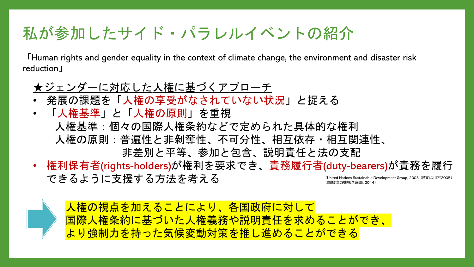### 私が参加したサイド・パラレルイベントの紹介

「Human rights and gender equality in the context of climate change, the environment and disaster risk reduction」

#### ★ジェンダーに対応した人権に基づくアプローチ

- 発展の課題を「人権の享受がなされていない状況」と捉える
- 「人権基準」と「人権の原則」を重視 人権基準:個々の国際人権条約などで定められた具体的な権利 人権の原則:普遍性と非剝奪性、不可分性、相互依存・相互関連性、 非差別と平等、参加と包含、説明責任と法の支配
- 権利保有者(rights-holders)が権利を要求でき、責務履行者(duty-bearers)が責務を履行 できるように支援する方法を考える (United Nations Sustainable Development Group, 2003; 訳文は川村2005) 祭協力機構企画部, 2014)

人権の視点を加えることにより、各国政府に対して 国際人権条約に基づいた人権義務や説明責任を求めることができ、 より強制力を持った気候変動対策を推し進めることができる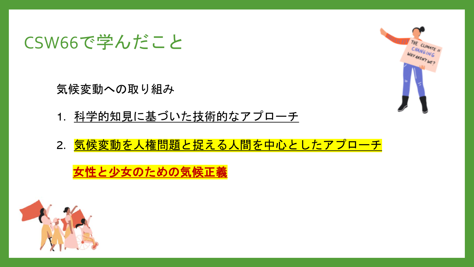### CSW66で学んだこと

気候変動への取り組み

- 1. 科学的知見に基づいた技術的なアプローチ
- 2. 気候変動を人権問題と捉える人間を中心としたアプローチ

女性と少女のための気候正義



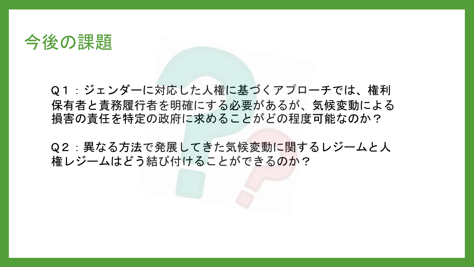#### 今後の課題

Q1:ジェンダーに対応した人権に基づくアプローチでは、権利 保有者と責務履行者を明確にする必要があるが、気候変動による 損害の責任を特定の政府に求めることがどの程度可能なのか?

Q2:異なる方法で発展してきた気候変動に関するレジームと人 権レジームはどう結び付けることができるのか?